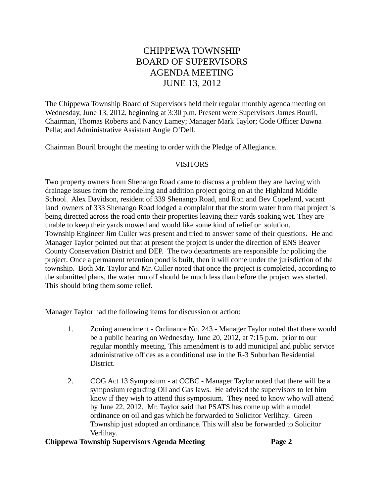# CHIPPEWA TOWNSHIP BOARD OF SUPERVISORS AGENDA MEETING JUNE 13, 2012

The Chippewa Township Board of Supervisors held their regular monthly agenda meeting on Wednesday, June 13, 2012, beginning at 3:30 p.m. Present were Supervisors James Bouril, Chairman, Thomas Roberts and Nancy Lamey; Manager Mark Taylor; Code Officer Dawna Pella; and Administrative Assistant Angie O'Dell.

Chairman Bouril brought the meeting to order with the Pledge of Allegiance.

### VISITORS

Two property owners from Shenango Road came to discuss a problem they are having with drainage issues from the remodeling and addition project going on at the Highland Middle School. Alex Davidson, resident of 339 Shenango Road, and Ron and Bev Copeland, vacant land owners of 333 Shenango Road lodged a complaint that the storm water from that project is being directed across the road onto their properties leaving their yards soaking wet. They are unable to keep their yards mowed and would like some kind of relief or solution. Township Engineer Jim Culler was present and tried to answer some of their questions. He and Manager Taylor pointed out that at present the project is under the direction of ENS Beaver County Conservation District and DEP. The two departments are responsible for policing the project. Once a permanent retention pond is built, then it will come under the jurisdiction of the township. Both Mr. Taylor and Mr. Culler noted that once the project is completed, according to the submitted plans, the water run off should be much less than before the project was started. This should bring them some relief.

Manager Taylor had the following items for discussion or action:

- 1. Zoning amendment Ordinance No. 243 Manager Taylor noted that there would be a public hearing on Wednesday, June 20, 2012, at 7:15 p.m. prior to our regular monthly meeting. This amendment is to add municipal and public service administrative offices as a conditional use in the R-3 Suburban Residential District.
- 2. COG Act 13 Symposium at CCBC Manager Taylor noted that there will be a symposium regarding Oil and Gas laws. He advised the supervisors to let him know if they wish to attend this symposium. They need to know who will attend by June 22, 2012. Mr. Taylor said that PSATS has come up with a model ordinance on oil and gas which he forwarded to Solicitor Verlihay. Green Township just adopted an ordinance. This will also be forwarded to Solicitor Verlihay.

#### **Chippewa Township Supervisors Agenda Meeting Page 2**